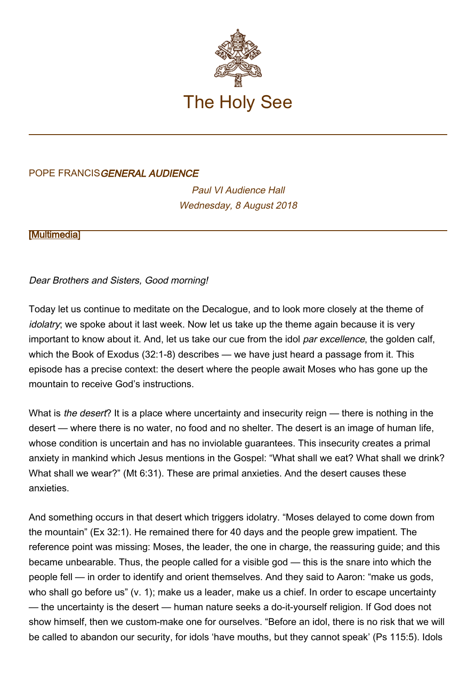

## POPE FRANCISGENERAL AUDIENCE

Paul VI Audience Hall Wednesday, 8 August 2018

**[\[Multimedia](http://w2.vatican.va/content/francesco/en/events/event.dir.html/content/vaticanevents/en/2018/8/8/udienzagenerale.html)]** 

Dear Brothers and Sisters, Good morning!

Today let us continue to meditate on the Decalogue, and to look more closely at the theme of idolatry; we spoke about it last week. Now let us take up the theme again because it is very important to know about it. And, let us take our cue from the idol par excellence, the golden calf, which the Book of Exodus (32:1-8) describes — we have just heard a passage from it. This episode has a precise context: the desert where the people await Moses who has gone up the mountain to receive God's instructions.

What is the desert? It is a place where uncertainty and insecurity reign — there is nothing in the desert — where there is no water, no food and no shelter. The desert is an image of human life, whose condition is uncertain and has no inviolable quarantees. This insecurity creates a primal anxiety in mankind which Jesus mentions in the Gospel: "What shall we eat? What shall we drink? What shall we wear?" (Mt 6:31). These are primal anxieties. And the desert causes these anxieties.

And something occurs in that desert which triggers idolatry. "Moses delayed to come down from the mountain" (Ex 32:1). He remained there for 40 days and the people grew impatient. The reference point was missing: Moses, the leader, the one in charge, the reassuring guide; and this became unbearable. Thus, the people called for a visible god — this is the snare into which the people fell — in order to identify and orient themselves. And they said to Aaron: "make us gods, who shall go before us" (v. 1); make us a leader, make us a chief. In order to escape uncertainty — the uncertainty is the desert — human nature seeks a do-it-yourself religion. If God does not show himself, then we custom-make one for ourselves. "Before an idol, there is no risk that we will be called to abandon our security, for idols 'have mouths, but they cannot speak' (Ps 115:5). Idols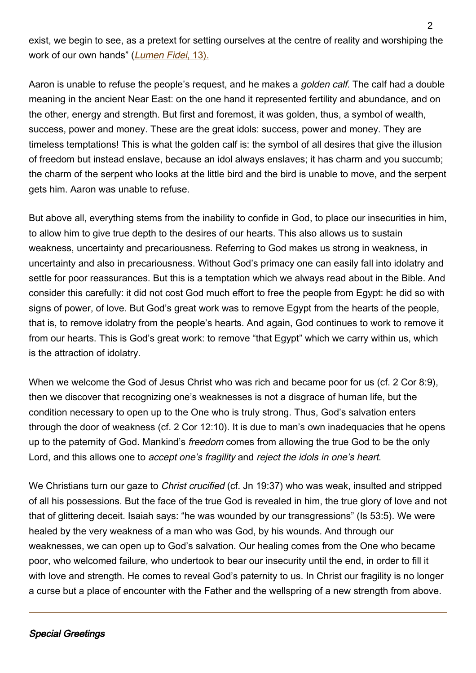exist, we begin to see, as a pretext for setting ourselves at the centre of reality and worshiping the work of our own hands" (Lumen Fidei[, 13\).](http://w2.vatican.va/content/francesco/en/encyclicals/documents/papa-francesco_20130629_enciclica-lumen-fidei.html)

Aaron is unable to refuse the people's request, and he makes a *golden calf.* The calf had a double meaning in the ancient Near East: on the one hand it represented fertility and abundance, and on the other, energy and strength. But first and foremost, it was golden, thus, a symbol of wealth, success, power and money. These are the great idols: success, power and money. They are timeless temptations! This is what the golden calf is: the symbol of all desires that give the illusion of freedom but instead enslave, because an idol always enslaves; it has charm and you succumb; the charm of the serpent who looks at the little bird and the bird is unable to move, and the serpent gets him. Aaron was unable to refuse.

But above all, everything stems from the inability to confide in God, to place our insecurities in him, to allow him to give true depth to the desires of our hearts. This also allows us to sustain weakness, uncertainty and precariousness. Referring to God makes us strong in weakness, in uncertainty and also in precariousness. Without God's primacy one can easily fall into idolatry and settle for poor reassurances. But this is a temptation which we always read about in the Bible. And consider this carefully: it did not cost God much effort to free the people from Egypt: he did so with signs of power, of love. But God's great work was to remove Egypt from the hearts of the people, that is, to remove idolatry from the people's hearts. And again, God continues to work to remove it from our hearts. This is God's great work: to remove "that Egypt" which we carry within us, which is the attraction of idolatry.

When we welcome the God of Jesus Christ who was rich and became poor for us (cf. 2 Cor 8:9), then we discover that recognizing one's weaknesses is not a disgrace of human life, but the condition necessary to open up to the One who is truly strong. Thus, God's salvation enters through the door of weakness (cf. 2 Cor 12:10). It is due to man's own inadequacies that he opens up to the paternity of God. Mankind's *freedom* comes from allowing the true God to be the only Lord, and this allows one to accept one's fragility and reject the idols in one's heart.

We Christians turn our gaze to *Christ crucified* (cf. Jn 19:37) who was weak, insulted and stripped of all his possessions. But the face of the true God is revealed in him, the true glory of love and not that of glittering deceit. Isaiah says: "he was wounded by our transgressions" (Is 53:5). We were healed by the very weakness of a man who was God, by his wounds. And through our weaknesses, we can open up to God's salvation. Our healing comes from the One who became poor, who welcomed failure, who undertook to bear our insecurity until the end, in order to fill it with love and strength. He comes to reveal God's paternity to us. In Christ our fragility is no longer a curse but a place of encounter with the Father and the wellspring of a new strength from above.

## Special Greetings